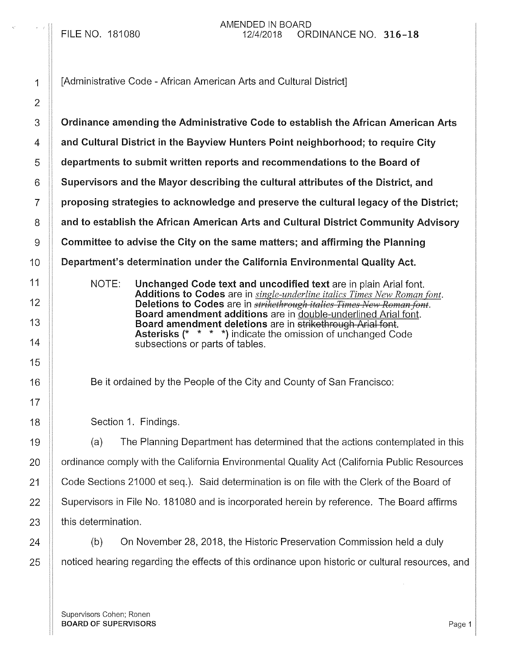1 | [Administrative Code - African American Arts and Cultural District] 3 | Ordinance amending the Administrative Code to establish the African American Arts 4 **Aultry 2** and Cultural District in the Bayview Hunters Point neighborhood; to require City 5 **departments to submit written reports and recommendations to the Board of**  $6 \parallel$  Supervisors and the Mayor describing the cultural attributes of the District, and  $7 \parallel$  proposing strategies to acknowledge and preserve the cultural legacy of the District; 8 And to establish the African American Arts and Cultural District Community Advisory 9 | Committee to advise the City on the same matters; and affirming the Planning 10 **|| Department's determination under the California Environmental Quality Act.** NOTE: Unchanged Code text and uncodified text are in plain Arial font. Additions to Codes are in *single-underline italics Times New Roman font.*  Deletions to Codes are in *strikethrough italics Times New Roman font.*  Board amendment additions are in double-underlined Arial font. Board amendment deletions are in strikethrough Arial font. Asterisks (\* \* \* \*) indicate the omission of unchanged Code subsections or parts of tables. Be it ordained by the People of the City and County of San Francisco: Section 1. Findings. 19 **(a)** The Planning Department has determined that the actions contemplated in this 20 | | ordinance comply with the California Environmental Quality Act (California Public Resources 21 Code Sections 21000 et seq.). Said determination is on file with the Clerk of the Board of 22 Supervisors in File No. 181080 and is incorporated herein by reference. The Board affirms  $23$  || this determination. 24 (b) On November 28, 2018, the Historic Preservation Commission held a duly 25 **1** noticed hearing regarding the effects of this ordinance upon historic or cultural resources, and

Supervisors Cohen; Ronen BOARD OF SUPERVISORS **Page 1**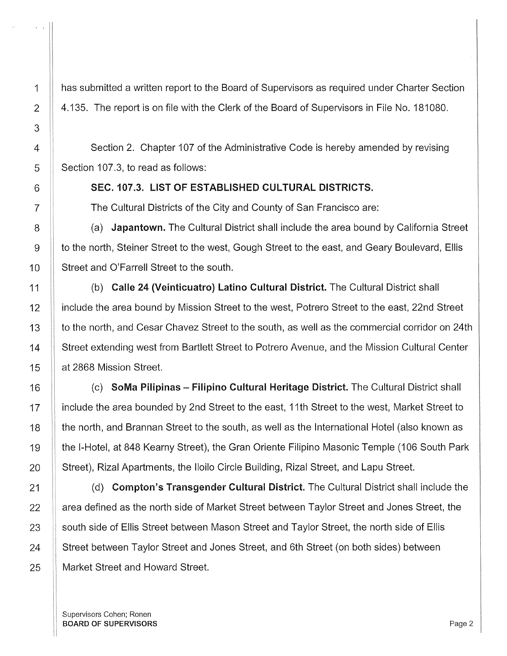1 has submitted a written report to the Board of Supervisors as required under Charter Section 2 | 4.135. The report is on file with the Clerk of the Board of Supervisors in File No. 181080.

4 Section 2. Chapter 107 of the Administrative Code is hereby amended by revising  $5$  | Section 107.3, to read as follows:

6 SEC. 107.3. LIST OF ESTABLISHED CULTURAL DISTRICTS.

7 The Cultural Districts of the City and County of San Francisco are:

8 (a) Japantown. The Cultural District shall include the area bound by California Street 9 to the north, Steiner Street to the west, Gough Street to the east, and Geary Boulevard, Ellis 10 | Street and O'Farrell Street to the south.

11 (b) Calle 24 (Veinticuatro) Latino Cultural District. The Cultural District shall 12 | include the area bound by Mission Street to the west, Potrero Street to the east, 22nd Street 13 **that the north, and Cesar Chavez Street to the south, as well as the commercial corridor on 24th** 14 Street extending west from Bartlett Street to Potrero Avenue, and the Mission Cultural Center 15 at 2868 Mission Street.

16 | (c) SoMa Pilipinas - Filipino Cultural Heritage District. The Cultural District shall 17 | include the area bounded by 2nd Street to the east, 11th Street to the west, Market Street to 18 **the north, and Brannan Street to the south, as well as the International Hotel (also known as** 19 | the I-Hotel, at 848 Kearny Street), the Gran Oriente Filipino Masonic Temple (106 South Park 20 | Street), Rizal Apartments, the Iloilo Circle Building, Rizal Street, and Lapu Street.

21 **1** (d) **Compton's Transgender Cultural District.** The Cultural District shall include the  $22$  || area defined as the north side of Market Street between Taylor Street and Jones Street, the 23 | south side of Ellis Street between Mason Street and Taylor Street, the north side of Ellis 24 Street between Taylor Street and Jones Street, and 6th Street (on both sides) between 25 | Market Street and Howard Street.

Supervisors Cohen; Ronen BOARD OF SUPERVISORS And the state of the state of the state of the state of the state of the state of the state of the state of the state of the state of the state of the state of the state of the state of the state of th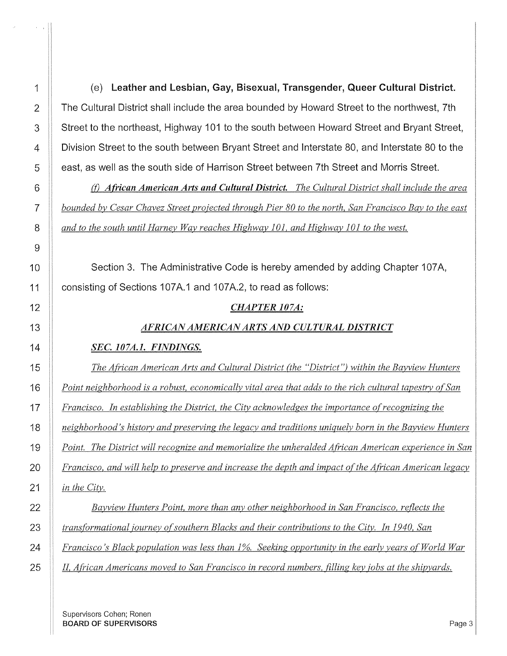*in the City.* 

 $\sim$ 

1 (e) Leather and Lesbian, Gay, Bisexual, Transgender, Queer Cultural District. 2 The Cultural District shall include the area bounded by Howard Street to the northwest, 7th 3 Street to the northeast, Highway 101 to the south between Howard Street and Bryant Street, **Division Street to the south between Bryant Street and Interstate 80, and Interstate 80 to the** 5 | east, as well as the south side of Harrison Street between 7th Street and Morris Street.

(j) *African American Arts and Cultural District. The Cultural District shall include the area bounded by Cesar Chavez Street projected through Pier 80 to the north, San Francisco Bay to the east and to the south until Harney Way reaches Highway 101, and Highway 101 to the west.* 

**Section 3.** The Administrative Code is hereby amended by adding Chapter 107A, **consisting of Sections 107A.1 and 107A.2, to read as follows:** 

## *CHAPTER 107A:*

## *AFRICAN AMERICAN ARTS AND CULTURAL DISTRICT*

## *SEC.107A.J. FINDINGS.*

*The African American Arts and Cultural District (the "District") within the Bayview Hunters* 

*Point neighborhood is a robust, economically vital area that adds to the rich cultural tapestry o[San* 

**F** *Francisco. In establishing the District, the City acknowledges the importance of recognizing the* 

*neighborhood's history and preserving the legacy and traditions uniquely born in the Bayview Hunters* 

*Point. The District will recognize and memorialize the unheralded African American experience in San* 

**Figure 20** *Francisco, and will help to preserve and increase the depth and impact of the African American legacy* 

*Bayview Hunters Point, more than any other neighborhood in San Francisco, reflects the transformational journey of southern Blacks and their contributions to the City. In 1940, San* 

**Finally Francisco's Black population was less than 1%. Seeking opportunity in the early years of World War** 

*II, African Americans moved to San Francisco in record numbers, filling key jobs at the shipyards.* 

Supervisors Cohen; Ronen **BOARD OF SUPERVISORS** Page 3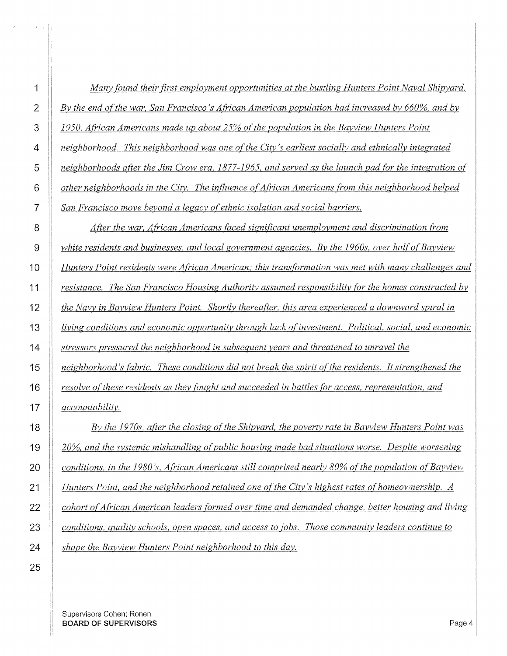| 1              | Many found their first employment opportunities at the bustling Hunters Point Naval Shipyard.          |
|----------------|--------------------------------------------------------------------------------------------------------|
| $\overline{2}$ | By the end of the war, San Francisco's African American population had increased by 660%, and by       |
| 3              | 1950, African Americans made up about 25% of the population in the Bayview Hunters Point               |
| 4              | neighborhood. This neighborhood was one of the City's earliest socially and ethnically integrated      |
| 5              | neighborhoods after the Jim Crow era, 1877-1965, and served as the launch pad for the integration of   |
| 6              | other neighborhoods in the City. The influence of African Americans from this neighborhood helped      |
| 7              | San Francisco move beyond a legacy of ethnic isolation and social barriers.                            |
| 8              | After the war, African Americans faced significant unemployment and discrimination from                |
| 9              | white residents and businesses, and local government agencies. By the 1960s, over half of Bayview      |
| 10             | Hunters Point residents were African American; this transformation was met with many challenges and    |
| 11             | resistance. The San Francisco Housing Authority assumed responsibility for the homes constructed by    |
| 12             | the Navy in Bayview Hunters Point. Shortly thereafter, this area experienced a downward spiral in      |
| 13             | living conditions and economic opportunity through lack of investment. Political, social, and economic |
| 14             | stressors pressured the neighborhood in subsequent years and threatened to unravel the                 |
| 15             | neighborhood's fabric. These conditions did not break the spirit of the residents. It strengthened the |
| 16             | resolve of these residents as they fought and succeeded in battles for access, representation, and     |
| 17             | accountability.                                                                                        |
| 18             | By the 1970s, after the closing of the Shipyard, the poverty rate in Bayview Hunters Point was         |
| 19             | 20%, and the systemic mishandling of public housing made bad situations worse. Despite worsening       |
| 20             | conditions, in the 1980's, African Americans still comprised nearly 80% of the population of Bayview   |
| 21             | Hunters Point, and the neighborhood retained one of the City's highest rates of homeownership. A       |
| 22             | cohort of African American leaders formed over time and demanded change, better housing and living     |
| 23             | conditions, quality schools, open spaces, and access to jobs. Those community leaders continue to      |
| 24             | shape the Bayview Hunters Point neighborhood to this day.                                              |

Supervisors Cohen; Ronen **BOARD OF SUPERVISORS** Page 4

 $\label{eq:2} \mathcal{L} = \left\{ \begin{array}{ll} \mathcal{L} & \mathcal{L} & \mathcal{L} \\ \mathcal{L} & \mathcal{L} & \mathcal{L} \\ \mathcal{L} & \mathcal{L} & \mathcal{L} \end{array} \right. \quad \text{and} \quad \mathcal{L} = \left\{ \begin{array}{ll} \mathcal{L} \\ \mathcal{L} \\ \mathcal{L} \\ \mathcal{L} \end{array} \right\}$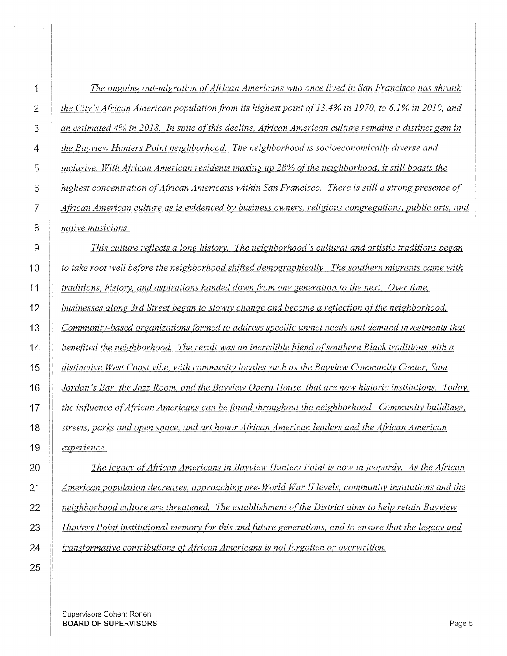| 1              | The ongoing out-migration of African Americans who once lived in San Francisco has shrunk              |
|----------------|--------------------------------------------------------------------------------------------------------|
| $\overline{2}$ | the City's African American population from its highest point of 13.4% in 1970, to 6.1% in 2010, and   |
| 3              | an estimated 4% in 2018. In spite of this decline, African American culture remains a distinct gem in  |
| 4              | the Bayview Hunters Point neighborhood. The neighborhood is socioeconomically diverse and              |
| 5              | inclusive. With African American residents making up 28% of the neighborhood, it still boasts the      |
| 6              | highest concentration of African Americans within San Francisco. There is still a strong presence of   |
| $\overline{7}$ | African American culture as is evidenced by business owners, religious congregations, public arts, and |
| 8              | native musicians.                                                                                      |
| 9              | This culture reflects a long history. The neighborhood's cultural and artistic traditions began        |
| 10             | to take root well before the neighborhood shifted demographically. The southern migrants came with     |
| 11             | traditions, history, and aspirations handed down from one generation to the next. Over time,           |
| 12             | businesses along 3rd Street began to slowly change and become a reflection of the neighborhood.        |
| 13             | Community-based organizations formed to address specific unmet needs and demand investments that       |
| 14             | benefited the neighborhood. The result was an incredible blend of southern Black traditions with a     |
| 15             | distinctive West Coast vibe, with community locales such as the Bayview Community Center, Sam          |
| 16             | Jordan's Bar, the Jazz Room, and the Bayview Opera House, that are now historic institutions. Today,   |
| 17             | the influence of African Americans can be found throughout the neighborhood. Community buildings,      |
| 18             | streets, parks and open space, and art honor African American leaders and the African American         |
| 19             | experience.                                                                                            |
| 20             | The legacy of African Americans in Bayview Hunters Point is now in jeopardy. As the African            |
| 21             | American population decreases, approaching pre-World War II levels, community institutions and the     |

*Hunters Point institutional memory [or this and {itture generations, and to ensure that the legacy and trans[ormative contributions of African Americans is not forgotten or overwritten.* 

*neighborhood culture are threatened. The establishment of the District aims to help retain Bayview* 

Supervisors Cohen; Ronen **BOARD OF SUPERVISORS** Page 5

 $\bar{\lambda}$ 

 $\mathcal{F}(\mathcal{A})$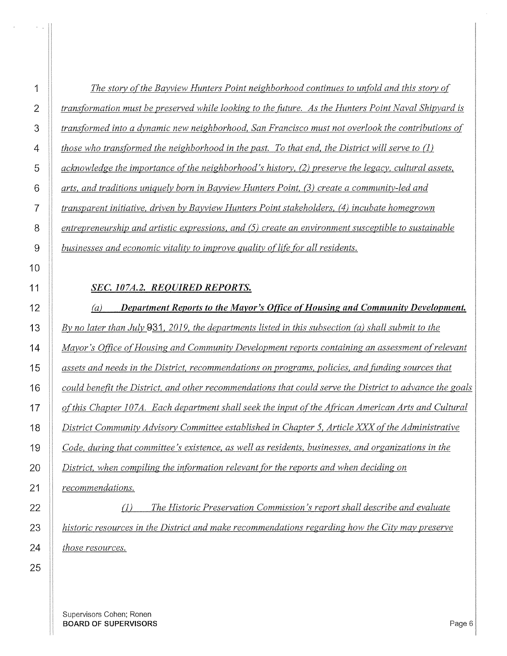| 1              | The story of the Bayview Hunters Point neighborhood continues to unfold and this story of             |
|----------------|-------------------------------------------------------------------------------------------------------|
| 2              | transformation must be preserved while looking to the future. As the Hunters Point Naval Shipyard is  |
| 3              | transformed into a dynamic new neighborhood, San Francisco must not overlook the contributions of     |
| 4              | those who transformed the neighborhood in the past. To that end, the District will serve to $(1)$     |
| 5              | acknowledge the importance of the neighborhood's history, (2) preserve the legacy, cultural assets,   |
| 6              | arts, and traditions uniquely born in Bayview Hunters Point, (3) create a community-led and           |
| $\overline{7}$ | transparent initiative, driven by Bayview Hunters Point stakeholders, (4) incubate homegrown          |
| 8              | entrepreneurship and artistic expressions, and $(5)$ create an environment susceptible to sustainable |
| 9              | businesses and economic vitality to improve quality of life for all residents.                        |

#### *SEC. 107A.2. REQUIRED REPORTS.*

(a) *Department Reports to the Mayor's Office of Housing and Community Development.*  **By no later than July** , 2019, the departments listed in this subsection (a) shall submit to the *Mayor's Office of Housing and Community Development reports containing an assessment of relevant assets and needs in the District, recommendations on programs, policies, and funding sources that could benefit the District, and other recommendations that could serve the District to advance the goals of this Chapter 107A. Each department shall seek the input of the African American Arts and Cultural* $\blacksquare$ *District Community Advisory Committee established in Chapter 5, Article XXX of the Administrative Code, during that committee's existence, as well as residents, businesses, and organizations in the District, when compiling the information relevant [or the reports and when deciding on recommendations.*  {J) *The Historic Preservation Commission's report shall describe and evaluate historic resources in the District and make recommendations regarding how the City may preserve* 

*those resources.* 

 $\alpha=\alpha$ 

Supervisors Cohen; Ronen BOARD OF SUPERVISORS And the state of the state of the state of the state of the state of the state of the state of the state of the state of the state of the state of the state of the state of the state of the state of th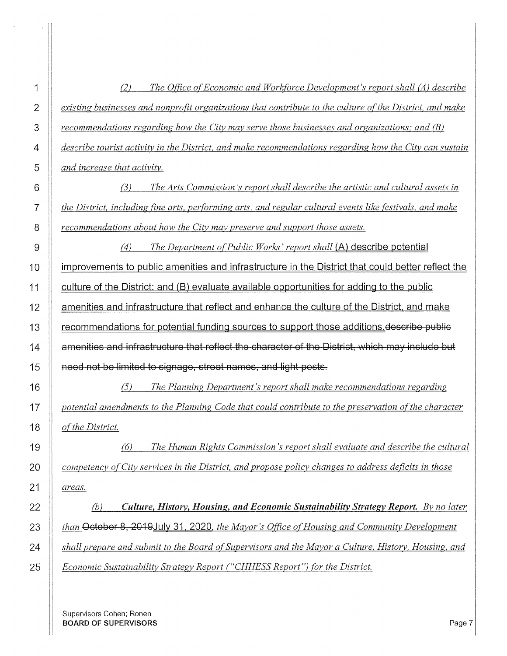1 *(2) The 0{/ice o(Economic and Workforce Development's report shall (A) describe*  2 *existing businesses and nonprofit organizations that contribute to the culture of the District, and make* 3 *<u>recommendations regarding how the City may serve those businesses and organizations; and (B)* $\blacksquare$ </u> 4 *describe tourist activity in the District, and make recommendations regarding how the City can sustain*  5 *and increase that activity.*  6 7 8 9 *(3) The Arts Commission's report shall describe the artistic and cultural assets in the District, including fine arts, performing arts, and regular cultural events like festivals, and make recommendations about how the City may preserve and support those assets.*  (4) *The Department o(Public Works' report shall* (A) describe potential 10 | improvements to public amenities and infrastructure in the District that could better reflect the 11 **culture of the District: and (B) evaluate available opportunities for adding to the public** 12 | amenities and infrastructure that reflect and enhance the culture of the District, and make 13 | recommendations for potential funding sources to support those additions describe public 14 | amenities and infrastructure that reflect the character of the District, which may include but 15 **I** need not be limited to signage, street names, and light posts. 16 *{5) The Planning Department's report shall make recommendations regarding*  17 *potential amendments to the Planning Code that could contribute to the preservation of the character* $\overline{a}$ 18 *of the District.* 19 (6) *The Human Rights Commission's report shall evaluate and describe the cultural*  20 *competency of City services in the District, and propose policy changes to address deficits in those*  21 *areas.*  22 *(b) Culture, History, Housing, and Economic Sustainability Strategy Report. By no later*  23 *than* October 8, 2019 July 31, 2020, *the Mayor's Office of Housing and Community Development* 24 *shall prepare and submit to the Board of Supervisors and the Mayor a Culture, History, Housing, and 24 July 100 and 2014* 25 *Economic Sustainability Strategy Report ("CHHESS Report") [or the District.* 

Supervisors Cohen; Ronen **BOARD OF SUPERVISORS** Page 7

 $\tau_{\rm{max}}$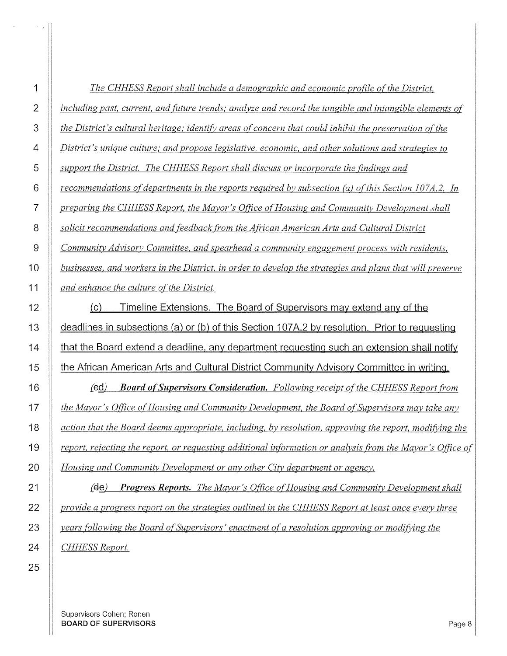| 1              | The CHHESS Report shall include a demographic and economic profile of the District,                       |
|----------------|-----------------------------------------------------------------------------------------------------------|
| $\overline{2}$ | including past, current, and future trends; analyze and record the tangible and intangible elements of    |
| 3              | the District's cultural heritage; identify areas of concern that could inhibit the preservation of the    |
| 4              | District's unique culture; and propose legislative, economic, and other solutions and strategies to       |
| 5              | support the District. The CHHESS Report shall discuss or incorporate the findings and                     |
| 6              | recommendations of departments in the reports required by subsection $(a)$ of this Section 107A.2. In     |
| 7              | preparing the CHHESS Report, the Mayor's Office of Housing and Community Development shall                |
| 8              | solicit recommendations and feedback from the African American Arts and Cultural District                 |
| 9              | Community Advisory Committee, and spearhead a community engagement process with residents,                |
| 10             | businesses, and workers in the District, in order to develop the strategies and plans that will preserve  |
| 11             | and enhance the culture of the District.                                                                  |
| 12             | Timeline Extensions. The Board of Supervisors may extend any of the<br>$\left( \text{c} \right)$          |
| 13             | deadlines in subsections (a) or (b) of this Section 107A.2 by resolution. Prior to requesting             |
| 14             | that the Board extend a deadline, any department requesting such an extension shall notify                |
| 15             | the African American Arts and Cultural District Community Advisory Committee in writing.                  |
| 16             | $(\text{ed})$<br><b>Board of Supervisors Consideration.</b> Following receipt of the CHHESS Report from   |
| 17             | the Mayor's Office of Housing and Community Development, the Board of Supervisors may take any            |
| 18             | action that the Board deems appropriate, including, by resolution, approving the report, modifying the    |
| 19             | report, rejecting the report, or requesting additional information or analysis from the Mayor's Office of |
| 20             | Housing and Community Development or any other City department or agency.                                 |
| 21             | <b>Progress Reports.</b> The Mayor's Office of Housing and Community Development shall<br>(de)            |
| 22             | provide a progress report on the strategies outlined in the CHHESS Report at least once every three       |
| 23             | years following the Board of Supervisors' enactment of a resolution approving or modifying the            |

**CHHESS Report.** 

 $\left\vert \cdot \right\vert$  ,  $\left\vert \cdot \right\vert$ 

 $\bar{u}$ 

Supervisors Cohen; Ronen BOARD OF SUPERVISORS **Page 8**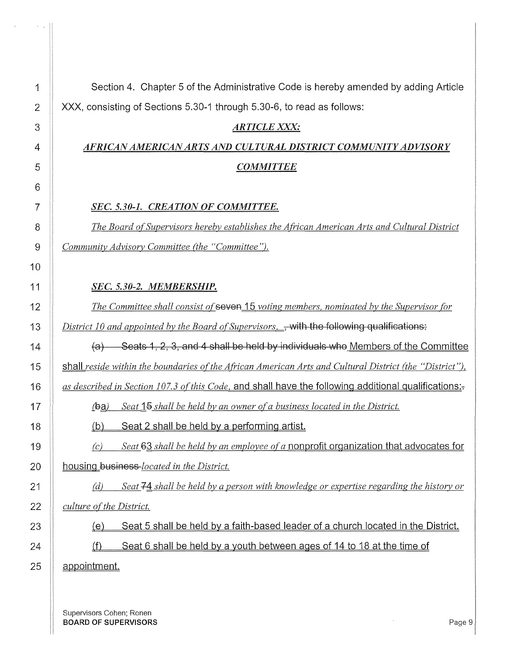| 1              | Section 4. Chapter 5 of the Administrative Code is hereby amended by adding Article                     |
|----------------|---------------------------------------------------------------------------------------------------------|
| 2              | XXX, consisting of Sections 5.30-1 through 5.30-6, to read as follows:                                  |
| 3              | <b>ARTICLE XXX:</b>                                                                                     |
| 4              | AFRICAN AMERICAN ARTS AND CULTURAL DISTRICT COMMUNITY ADVISORY                                          |
| 5              | <b>COMMITTEE</b>                                                                                        |
| 6              |                                                                                                         |
| $\overline{7}$ | SEC. 5.30-1. CREATION OF COMMITTEE.                                                                     |
| 8              | The Board of Supervisors hereby establishes the African American Arts and Cultural District             |
| 9              | Community Advisory Committee (the "Committee").                                                         |
| 10             |                                                                                                         |
| 11             | SEC. 5.30-2. MEMBERSHIP.                                                                                |
| 12             | The Committee shall consist of seven 15 voting members, nominated by the Supervisor for                 |
| 13             | District 10 and appointed by the Board of Supervisors. , with the following qualifications:             |
| 14             | $(a)$ Seats 1, 2, 3, and 4 shall be held by individuals who Members of the Committee                    |
| 15             | shall reside within the boundaries of the African American Arts and Cultural District (the "District"), |
| 16             | as described in Section 107.3 of this Code, and shall have the following additional qualifications:-    |
| 17             | Seat 15 shall be held by an owner of a business located in the District.<br>(ba)                        |
| 18             | Seat 2 shall be held by a performing artist.<br>(b)                                                     |
| 19             | Seat 63 shall be held by an employee of a nonprofit organization that advocates for<br>(c)              |
| 20             | housing business-located in the District.                                                               |
| 21             | Seat 74 shall be held by a person with knowledge or expertise regarding the history or<br>(d)           |
| 22             | culture of the District.                                                                                |
| 23             | Seat 5 shall be held by a faith-based leader of a church located in the District.<br><u>(e)</u>         |
| 24             | (f)<br>Seat 6 shall be held by a youth between ages of 14 to 18 at the time of                          |
| 25             | appointment.                                                                                            |
|                |                                                                                                         |

Supervisors Cohen; Ronen BOARD OF SUPERVISORS Page 9

 $\langle \cdot \rangle_{\theta}$ 

 $\rightarrow$   $\rightarrow$   $\parallel$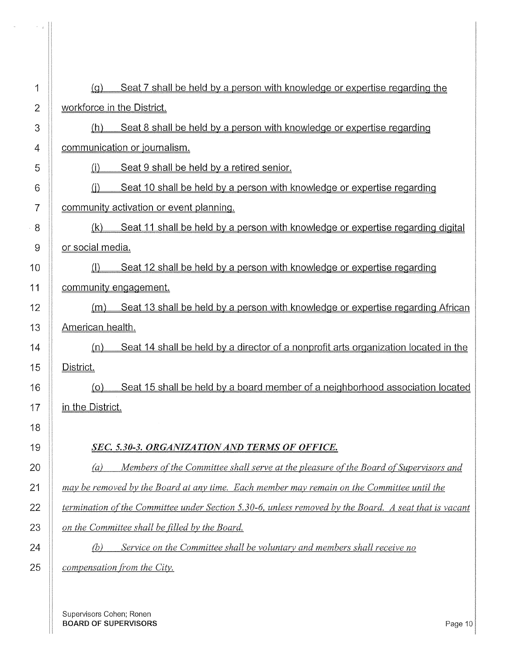| 1              | Seat 7 shall be held by a person with knowledge or expertise regarding the<br>(q)                     |
|----------------|-------------------------------------------------------------------------------------------------------|
| $\overline{2}$ | workforce in the District.                                                                            |
| 3              | Seat 8 shall be held by a person with knowledge or expertise regarding<br>(h)                         |
| 4              | communication or journalism.                                                                          |
| 5              | Seat 9 shall be held by a retired senior.<br>(i)                                                      |
| 6              | Seat 10 shall be held by a person with knowledge or expertise regarding<br>(i)                        |
| 7              | community activation or event planning.                                                               |
| 8              | Seat 11 shall be held by a person with knowledge or expertise regarding digital<br>(k)                |
| 9              | or social media.                                                                                      |
| 10             | Seat 12 shall be held by a person with knowledge or expertise regarding                               |
| 11             | community engagement.                                                                                 |
| 12             | Seat 13 shall be held by a person with knowledge or expertise regarding African<br>(m)                |
| 13             | American health.                                                                                      |
| 14             | Seat 14 shall be held by a director of a nonprofit arts organization located in the<br><u>(n)</u>     |
| 15             | District.                                                                                             |
| 16             | Seat 15 shall be held by a board member of a neighborhood association located<br><u>(o)</u>           |
| 17             | in the District.                                                                                      |
| 18             |                                                                                                       |
| 19             | SEC. 5.30-3. ORGANIZATION AND TERMS OF OFFICE.                                                        |
| 20             | Members of the Committee shall serve at the pleasure of the Board of Supervisors and<br>(a)           |
| 21             | may be removed by the Board at any time. Each member may remain on the Committee until the            |
| 22             | termination of the Committee under Section 5.30-6, unless removed by the Board. A seat that is vacant |
| 23             | on the Committee shall be filled by the Board.                                                        |
| 24             | Service on the Committee shall be voluntary and members shall receive no<br>(b)                       |
| 25             | compensation from the City.                                                                           |
|                |                                                                                                       |

Supervisors Cohen; Ronen **BOARD OF SUPERVISORS** Page 10 **Page 10** 

 $\alpha$ 

 $\sim$   $\sim$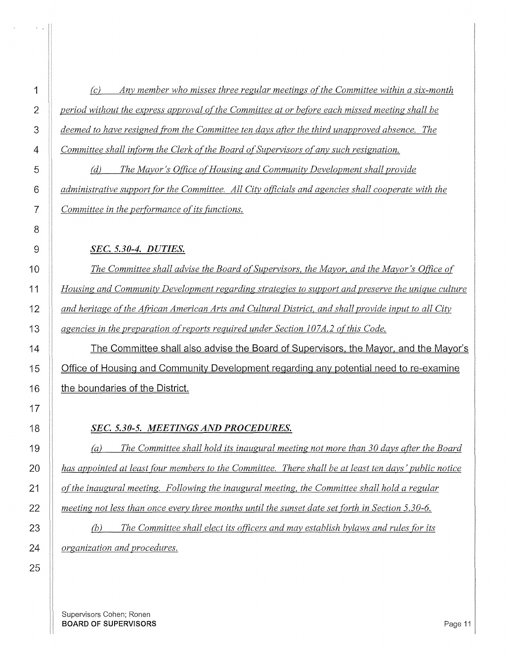$s=\frac{1}{2}$ 

**1** *(c)* Any member who misses three regular meetings of the Committee within a six-month *period without the express approval of the Committee at or before each missed meeting shall be deemed to have resigned from the Committee ten days after the third unapproved absence. The Committee shall inform the Clerk of the Board of Supervisors of any such resignation.* 

(d) *The Mayor's Office of Housing and Community Development shall provide administrative support (or the Committee. All City officials and agencies shall cooperate with the Committee in the performance of its functions.* 

#### *SEC. 5.30-4. DUTIES.*

**The Committee shall advise the Board of Supervisors, the Mayor, and the Mayor's Office of** *Housing and Community Development regarding strategies to support and preserve the unique culture and heritage of the African American Arts and Cultural District, and shall provide input to all City agencies in the preparation of reports required under Section 107A.2 of this Code.* 

14 The Committee shall also advise the Board of Supervisors, the Mayor, and the Mayor's **Cffice of Housing and Community Development regarding any potential need to re-examine**  $\parallel$  the boundaries of the District.

#### *SEC. 5.30-5. MEETINGS AND PROCEDURES.*

(a) *The Committee shall hold its inaugural meeting not more than 30 days after the Board has appointed at least four members to the Committee. There shall be at least ten days' public notice of the inaugural meeting. Following the inaugural meeting, the Committee shall hold a regular meeting not less than once every three months until the sunset date set forth in Section 5.30-6.* 

**(b)** The Committee shall elect its officers and may establish bylaws and rules for its *organization and procedures.*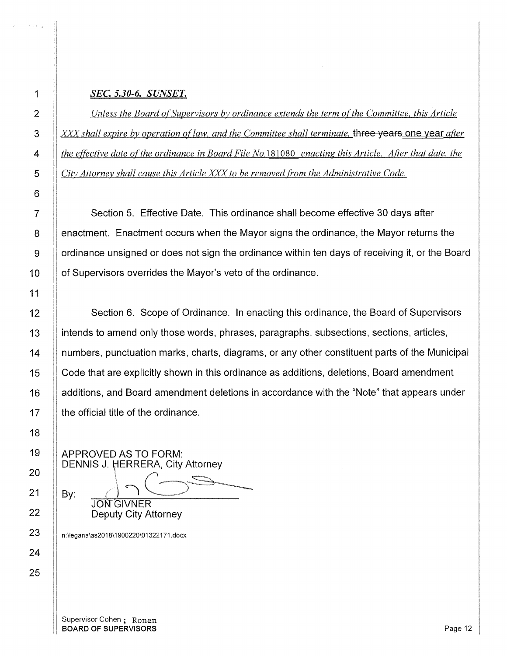### 1 *SEC. 5.30-6. SUNSET.*

**IDEN** Unless the Board of Supervisors by ordinance extends the term of the Committee, this Article XXX" *shall expire by operation o[law, and the Committee shall terminate,* three years one year *after the effective date of the ordinance in Board File No.181080 enacting this Article. After that date, the City Attorney shall cause this Article XXX to be removed from the Administrative Code.* 

7  $\parallel$  Section 5. Effective Date. This ordinance shall become effective 30 days after 8 | enactment. Enactment occurs when the Mayor signs the ordinance, the Mayor returns the 9 | ordinance unsigned or does not sign the ordinance within ten days of receiving it, or the Board 10 | of Supervisors overrides the Mayor's veto of the ordinance.

12 Section 6. Scope of Ordinance. In enacting this ordinance, the Board of Supervisors 13 **intends to amend only those words, phrases, paragraphs, subsections, sections, articles,** 14 numbers, punctuation marks, charts, diagrams, or any other constituent parts of the Municipal 15 | Code that are explicitly shown in this ordinance as additions, deletions, Board amendment 16 | additions, and Board amendment deletions in accordance with the "Note" that appears under  $17$  | the official title of the ordinance.

APPROVED AS TO FORM: DENNIS J. HERRERA, City Attorney  $\ddot{\phantom{a}}$ HERRERA, City Attorney

**JON GIVNER** Deputy City Attorney

n:\legana\as2018\1900220\01322171.docx

 $Bv:$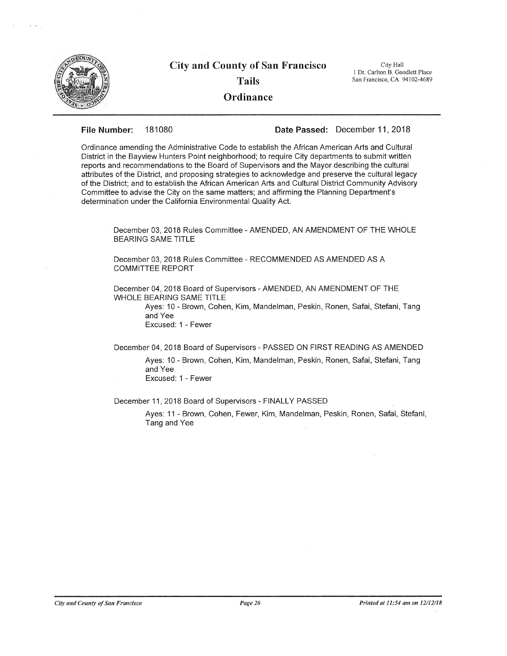

 $\tilde{Y} \rightarrow \tilde{X}$ 

# City **and** County **of** San Francisco Tails **Ordinance**

City Hall I Dr. Carlton B. Goodlett Place San Francisco, CA 94102-4689

**File Number:** 181080 **Date Passed:** December **11,** 2018

Ordinance amending the Administrative Code to establish the African American Arts and Cultural District in the Bayview Hunters Point neighborhood; to require City departments to submit written reports and recommendations to the Board of Supervisors and the Mayor describing the cultural attributes of the District, and proposing strategies to acknowledge and preserve the cultural legacy of the District; and to establish the African American Arts and Cultural District Community Advisory Committee to advise the City on the same matters; and affirming the Planning Department's determination under the California Environmental Quality Act.

December 03, 2018 Rules Committee- AMENDED, AN AMENDMENT OF THE WHOLE BEARING SAME TITLE

December 03, 2018 Rules Committee- RECOMMENDED AS AMENDED AS A COMMITTEE REPORT

December 04, 2018 Board of Supervisors- AMENDED, AN AMENDMENT OF THE WHOLE BEARING SAME TITLE

> Ayes: 10- Brown, Cohen, Kim, Mandelman, Peskin, Ronen, Safai, Stefani, Tang and Yee Excused: 1 - Fewer

December 04, 2018 Board of Supervisors- PASSED ON FIRST READING AS AMENDED

Ayes: 10- Brown, Cohen, Kim, Mandelman, Peskin, Ronen, Safai, Stefani, Tang and Yee Excused: 1 -Fewer

December 11, 2018 Board of Supervisors-FINALLY PASSED

Ayes: 11 - Brown, Cohen, Fewer, Kim, Mandelman, Peskin, Ronen, Safai, Stefani, Tang and Yee